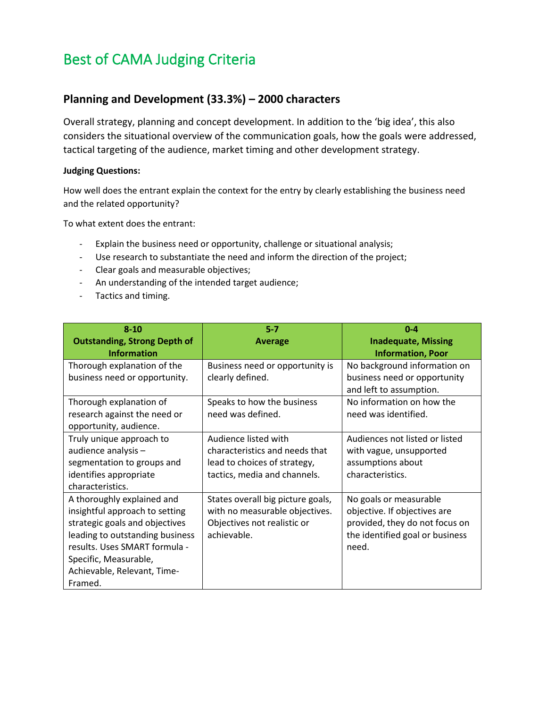# Best of CAMA Judging Criteria

## **Planning and Development (33.3%) – 2000 characters**

Overall strategy, planning and concept development. In addition to the 'big idea', this also considers the situational overview of the communication goals, how the goals were addressed, tactical targeting of the audience, market timing and other development strategy.

#### **Judging Questions:**

How well does the entrant explain the context for the entry by clearly establishing the business need and the related opportunity?

To what extent does the entrant:

- Explain the business need or opportunity, challenge or situational analysis;
- Use research to substantiate the need and inform the direction of the project;
- Clear goals and measurable objectives;
- An understanding of the intended target audience;
- Tactics and timing.

| $8 - 10$                            | $5 - 7$                           | $0 - 4$                         |
|-------------------------------------|-----------------------------------|---------------------------------|
| <b>Outstanding, Strong Depth of</b> | <b>Average</b>                    | <b>Inadequate, Missing</b>      |
| <b>Information</b>                  |                                   | <b>Information, Poor</b>        |
| Thorough explanation of the         | Business need or opportunity is   | No background information on    |
| business need or opportunity.       | clearly defined.                  | business need or opportunity    |
|                                     |                                   | and left to assumption.         |
| Thorough explanation of             | Speaks to how the business        | No information on how the       |
| research against the need or        | need was defined.                 | need was identified.            |
| opportunity, audience.              |                                   |                                 |
| Truly unique approach to            | Audience listed with              | Audiences not listed or listed  |
| audience analysis -                 | characteristics and needs that    | with vague, unsupported         |
| segmentation to groups and          | lead to choices of strategy,      | assumptions about               |
| identifies appropriate              | tactics, media and channels.      | characteristics.                |
| characteristics.                    |                                   |                                 |
| A thoroughly explained and          | States overall big picture goals, | No goals or measurable          |
| insightful approach to setting      | with no measurable objectives.    | objective. If objectives are    |
| strategic goals and objectives      | Objectives not realistic or       | provided, they do not focus on  |
| leading to outstanding business     | achievable.                       | the identified goal or business |
| results. Uses SMART formula -       |                                   | need.                           |
| Specific, Measurable,               |                                   |                                 |
| Achievable, Relevant, Time-         |                                   |                                 |
| Framed.                             |                                   |                                 |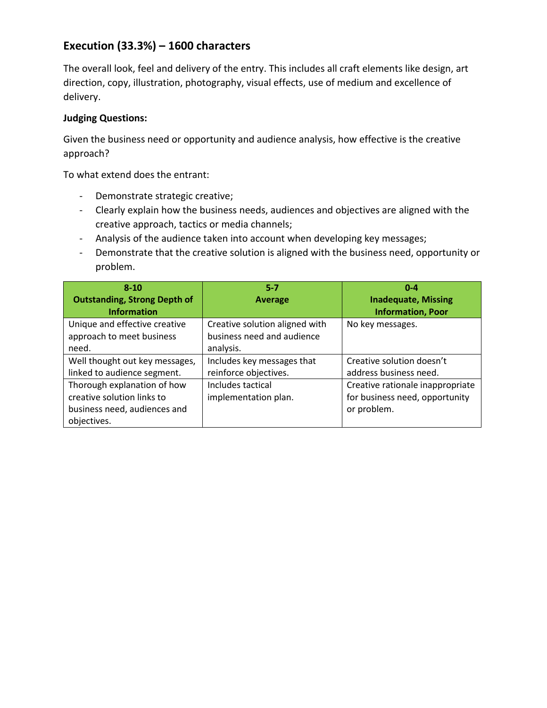# **Execution (33.3%) – 1600 characters**

The overall look, feel and delivery of the entry. This includes all craft elements like design, art direction, copy, illustration, photography, visual effects, use of medium and excellence of delivery.

#### **Judging Questions:**

Given the business need or opportunity and audience analysis, how effective is the creative approach?

To what extend does the entrant:

- Demonstrate strategic creative;
- Clearly explain how the business needs, audiences and objectives are aligned with the creative approach, tactics or media channels;
- Analysis of the audience taken into account when developing key messages;
- Demonstrate that the creative solution is aligned with the business need, opportunity or problem.

| $8 - 10$                            | $5 - 7$                        | $0 - 4$                          |
|-------------------------------------|--------------------------------|----------------------------------|
| <b>Outstanding, Strong Depth of</b> | <b>Average</b>                 | <b>Inadequate, Missing</b>       |
| <b>Information</b>                  |                                | <b>Information, Poor</b>         |
| Unique and effective creative       | Creative solution aligned with | No key messages.                 |
| approach to meet business           | business need and audience     |                                  |
| need.                               | analysis.                      |                                  |
| Well thought out key messages,      | Includes key messages that     | Creative solution doesn't        |
| linked to audience segment.         | reinforce objectives.          | address business need.           |
| Thorough explanation of how         | Includes tactical              | Creative rationale inappropriate |
| creative solution links to          | implementation plan.           | for business need, opportunity   |
| business need, audiences and        |                                | or problem.                      |
| objectives.                         |                                |                                  |